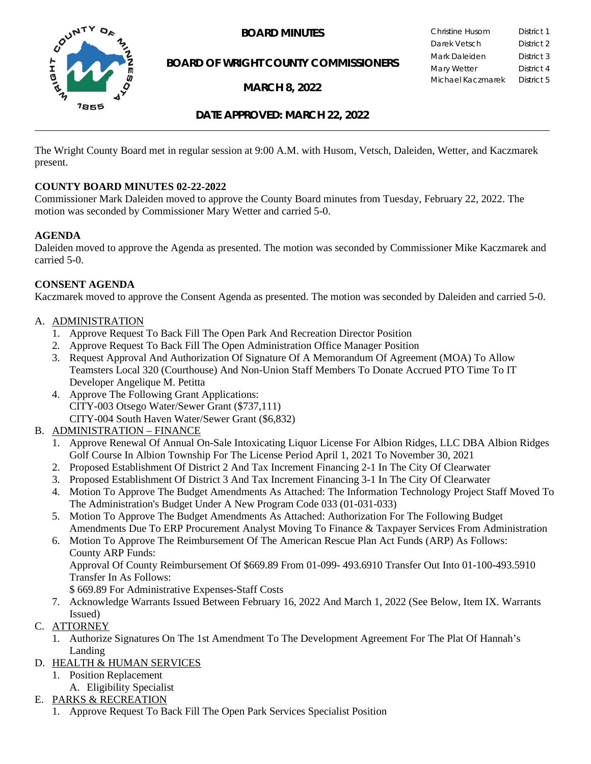

**BOARD OF WRIGHT COUNTY COMMISSIONERS**

**MARCH 8, 2022**

**BOARD MINUTES** Christine Husom District 1<br>Darek Vetsch District 2 Darek Vetsch Mark Daleiden **District 3** Mary Wetter **District 4** Michael Kaczmarek District 5

## **DATE APPROVED: MARCH 22, 2022**

The Wright County Board met in regular session at 9:00 A.M. with Husom, Vetsch, Daleiden, Wetter, and Kaczmarek present.

### **COUNTY BOARD MINUTES 02-22-2022**

Commissioner Mark Daleiden moved to approve the County Board minutes from Tuesday, February 22, 2022. The motion was seconded by Commissioner Mary Wetter and carried 5-0.

### **AGENDA**

Daleiden moved to approve the Agenda as presented. The motion was seconded by Commissioner Mike Kaczmarek and carried 5-0.

## **CONSENT AGENDA**

Kaczmarek moved to approve the Consent Agenda as presented. The motion was seconded by Daleiden and carried 5-0.

### A. ADMINISTRATION

- 1. Approve Request To Back Fill The Open Park And Recreation Director Position
- 2. Approve Request To Back Fill The Open Administration Office Manager Position
- 3. Request Approval And Authorization Of Signature Of A Memorandum Of Agreement (MOA) To Allow Teamsters Local 320 (Courthouse) And Non-Union Staff Members To Donate Accrued PTO Time To IT Developer Angelique M. Petitta
- 4. Approve The Following Grant Applications: CITY-003 Otsego Water/Sewer Grant (\$737,111) CITY-004 South Haven Water/Sewer Grant (\$6,832)
- B. ADMINISTRATION FINANCE
	- 1. Approve Renewal Of Annual On-Sale Intoxicating Liquor License For Albion Ridges, LLC DBA Albion Ridges Golf Course In Albion Township For The License Period April 1, 2021 To November 30, 2021
	- 2. Proposed Establishment Of District 2 And Tax Increment Financing 2-1 In The City Of Clearwater
	- 3. Proposed Establishment Of District 3 And Tax Increment Financing 3-1 In The City Of Clearwater
	- 4. Motion To Approve The Budget Amendments As Attached: The Information Technology Project Staff Moved To The Administration's Budget Under A New Program Code 033 (01-031-033)
	- 5. Motion To Approve The Budget Amendments As Attached: Authorization For The Following Budget Amendments Due To ERP Procurement Analyst Moving To Finance & Taxpayer Services From Administration
	- 6. Motion To Approve The Reimbursement Of The American Rescue Plan Act Funds (ARP) As Follows: County ARP Funds:

Approval Of County Reimbursement Of \$669.89 From 01-099- 493.6910 Transfer Out Into 01-100-493.5910 Transfer In As Follows:

\$ 669.89 For Administrative Expenses-Staff Costs

- 7. Acknowledge Warrants Issued Between February 16, 2022 And March 1, 2022 (See Below, Item IX. Warrants Issued)
- C. ATTORNEY
	- 1. Authorize Signatures On The 1st Amendment To The Development Agreement For The Plat Of Hannah's Landing
- D. HEALTH & HUMAN SERVICES
	- 1. Position Replacement
		- A. Eligibility Specialist

## E. PARKS & RECREATION

1. Approve Request To Back Fill The Open Park Services Specialist Position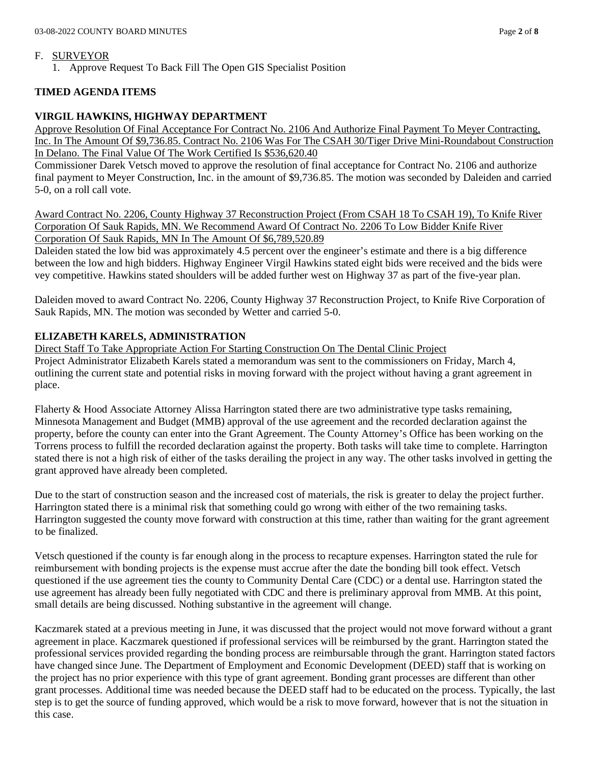#### F. SURVEYOR

1. Approve Request To Back Fill The Open GIS Specialist Position

### **TIMED AGENDA ITEMS**

### **VIRGIL HAWKINS, HIGHWAY DEPARTMENT**

Approve Resolution Of Final Acceptance For Contract No. 2106 And Authorize Final Payment To Meyer Contracting, Inc. In The Amount Of \$9,736.85. Contract No. 2106 Was For The CSAH 30/Tiger Drive Mini-Roundabout Construction In Delano. The Final Value Of The Work Certified Is \$536,620.40

Commissioner Darek Vetsch moved to approve the resolution of final acceptance for Contract No. 2106 and authorize final payment to Meyer Construction, Inc. in the amount of \$9,736.85. The motion was seconded by Daleiden and carried 5-0, on a roll call vote.

Award Contract No. 2206, County Highway 37 Reconstruction Project (From CSAH 18 To CSAH 19), To Knife River Corporation Of Sauk Rapids, MN. We Recommend Award Of Contract No. 2206 To Low Bidder Knife River Corporation Of Sauk Rapids, MN In The Amount Of \$6,789,520.89

Daleiden stated the low bid was approximately 4.5 percent over the engineer's estimate and there is a big difference between the low and high bidders. Highway Engineer Virgil Hawkins stated eight bids were received and the bids were vey competitive. Hawkins stated shoulders will be added further west on Highway 37 as part of the five-year plan.

Daleiden moved to award Contract No. 2206, County Highway 37 Reconstruction Project, to Knife Rive Corporation of Sauk Rapids, MN. The motion was seconded by Wetter and carried 5-0.

## **ELIZABETH KARELS, ADMINISTRATION**

Direct Staff To Take Appropriate Action For Starting Construction On The Dental Clinic Project Project Administrator Elizabeth Karels stated a memorandum was sent to the commissioners on Friday, March 4, outlining the current state and potential risks in moving forward with the project without having a grant agreement in place.

Flaherty & Hood Associate Attorney Alissa Harrington stated there are two administrative type tasks remaining, Minnesota Management and Budget (MMB) approval of the use agreement and the recorded declaration against the property, before the county can enter into the Grant Agreement. The County Attorney's Office has been working on the Torrens process to fulfill the recorded declaration against the property. Both tasks will take time to complete. Harrington stated there is not a high risk of either of the tasks derailing the project in any way. The other tasks involved in getting the grant approved have already been completed.

Due to the start of construction season and the increased cost of materials, the risk is greater to delay the project further. Harrington stated there is a minimal risk that something could go wrong with either of the two remaining tasks. Harrington suggested the county move forward with construction at this time, rather than waiting for the grant agreement to be finalized.

Vetsch questioned if the county is far enough along in the process to recapture expenses. Harrington stated the rule for reimbursement with bonding projects is the expense must accrue after the date the bonding bill took effect. Vetsch questioned if the use agreement ties the county to Community Dental Care (CDC) or a dental use. Harrington stated the use agreement has already been fully negotiated with CDC and there is preliminary approval from MMB. At this point, small details are being discussed. Nothing substantive in the agreement will change.

Kaczmarek stated at a previous meeting in June, it was discussed that the project would not move forward without a grant agreement in place. Kaczmarek questioned if professional services will be reimbursed by the grant. Harrington stated the professional services provided regarding the bonding process are reimbursable through the grant. Harrington stated factors have changed since June. The Department of Employment and Economic Development (DEED) staff that is working on the project has no prior experience with this type of grant agreement. Bonding grant processes are different than other grant processes. Additional time was needed because the DEED staff had to be educated on the process. Typically, the last step is to get the source of funding approved, which would be a risk to move forward, however that is not the situation in this case.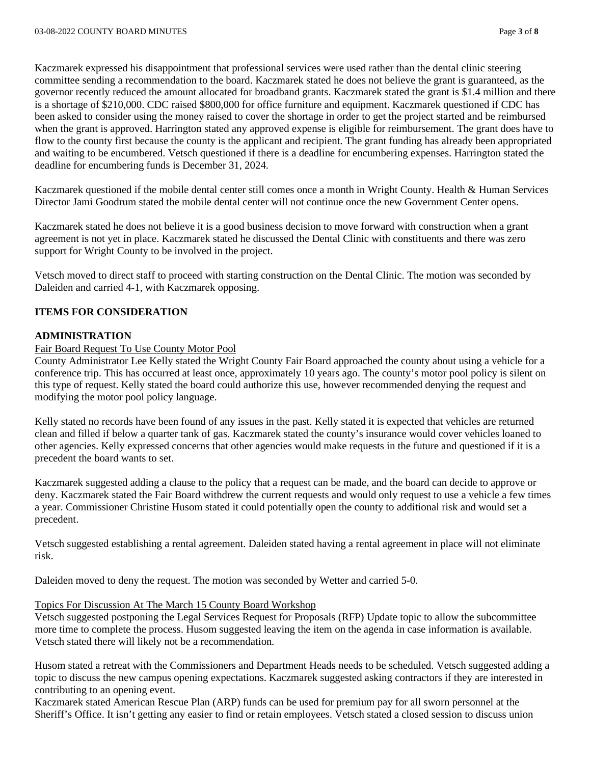Kaczmarek expressed his disappointment that professional services were used rather than the dental clinic steering committee sending a recommendation to the board. Kaczmarek stated he does not believe the grant is guaranteed, as the governor recently reduced the amount allocated for broadband grants. Kaczmarek stated the grant is \$1.4 million and there is a shortage of \$210,000. CDC raised \$800,000 for office furniture and equipment. Kaczmarek questioned if CDC has been asked to consider using the money raised to cover the shortage in order to get the project started and be reimbursed when the grant is approved. Harrington stated any approved expense is eligible for reimbursement. The grant does have to flow to the county first because the county is the applicant and recipient. The grant funding has already been appropriated and waiting to be encumbered. Vetsch questioned if there is a deadline for encumbering expenses. Harrington stated the deadline for encumbering funds is December 31, 2024.

Kaczmarek questioned if the mobile dental center still comes once a month in Wright County. Health & Human Services Director Jami Goodrum stated the mobile dental center will not continue once the new Government Center opens.

Kaczmarek stated he does not believe it is a good business decision to move forward with construction when a grant agreement is not yet in place. Kaczmarek stated he discussed the Dental Clinic with constituents and there was zero support for Wright County to be involved in the project.

Vetsch moved to direct staff to proceed with starting construction on the Dental Clinic. The motion was seconded by Daleiden and carried 4-1, with Kaczmarek opposing.

### **ITEMS FOR CONSIDERATION**

### **ADMINISTRATION**

#### Fair Board Request To Use County Motor Pool

County Administrator Lee Kelly stated the Wright County Fair Board approached the county about using a vehicle for a conference trip. This has occurred at least once, approximately 10 years ago. The county's motor pool policy is silent on this type of request. Kelly stated the board could authorize this use, however recommended denying the request and modifying the motor pool policy language.

Kelly stated no records have been found of any issues in the past. Kelly stated it is expected that vehicles are returned clean and filled if below a quarter tank of gas. Kaczmarek stated the county's insurance would cover vehicles loaned to other agencies. Kelly expressed concerns that other agencies would make requests in the future and questioned if it is a precedent the board wants to set.

Kaczmarek suggested adding a clause to the policy that a request can be made, and the board can decide to approve or deny. Kaczmarek stated the Fair Board withdrew the current requests and would only request to use a vehicle a few times a year. Commissioner Christine Husom stated it could potentially open the county to additional risk and would set a precedent.

Vetsch suggested establishing a rental agreement. Daleiden stated having a rental agreement in place will not eliminate risk.

Daleiden moved to deny the request. The motion was seconded by Wetter and carried 5-0.

## Topics For Discussion At The March 15 County Board Workshop

Vetsch suggested postponing the Legal Services Request for Proposals (RFP) Update topic to allow the subcommittee more time to complete the process. Husom suggested leaving the item on the agenda in case information is available. Vetsch stated there will likely not be a recommendation.

Husom stated a retreat with the Commissioners and Department Heads needs to be scheduled. Vetsch suggested adding a topic to discuss the new campus opening expectations. Kaczmarek suggested asking contractors if they are interested in contributing to an opening event.

Kaczmarek stated American Rescue Plan (ARP) funds can be used for premium pay for all sworn personnel at the Sheriff's Office. It isn't getting any easier to find or retain employees. Vetsch stated a closed session to discuss union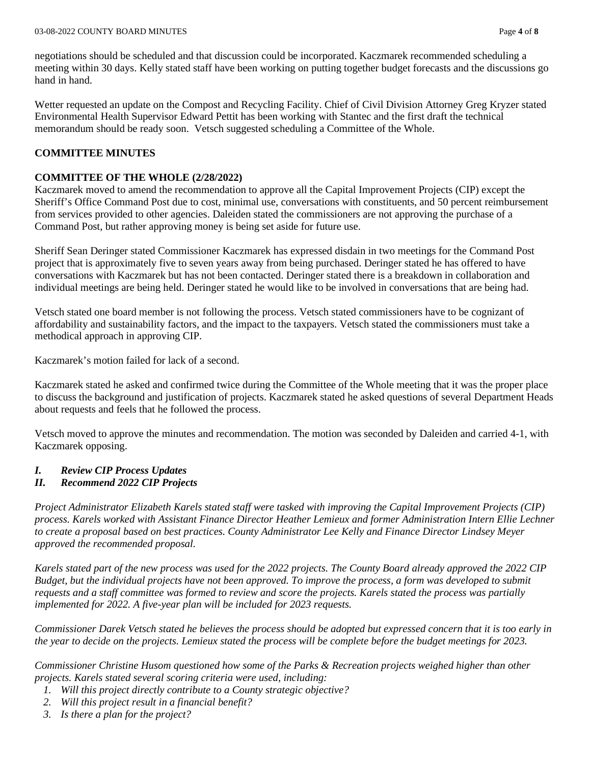negotiations should be scheduled and that discussion could be incorporated. Kaczmarek recommended scheduling a meeting within 30 days. Kelly stated staff have been working on putting together budget forecasts and the discussions go hand in hand.

Wetter requested an update on the Compost and Recycling Facility. Chief of Civil Division Attorney Greg Kryzer stated Environmental Health Supervisor Edward Pettit has been working with Stantec and the first draft the technical memorandum should be ready soon. Vetsch suggested scheduling a Committee of the Whole.

## **COMMITTEE MINUTES**

## **COMMITTEE OF THE WHOLE (2/28/2022)**

Kaczmarek moved to amend the recommendation to approve all the Capital Improvement Projects (CIP) except the Sheriff's Office Command Post due to cost, minimal use, conversations with constituents, and 50 percent reimbursement from services provided to other agencies. Daleiden stated the commissioners are not approving the purchase of a Command Post, but rather approving money is being set aside for future use.

Sheriff Sean Deringer stated Commissioner Kaczmarek has expressed disdain in two meetings for the Command Post project that is approximately five to seven years away from being purchased. Deringer stated he has offered to have conversations with Kaczmarek but has not been contacted. Deringer stated there is a breakdown in collaboration and individual meetings are being held. Deringer stated he would like to be involved in conversations that are being had.

Vetsch stated one board member is not following the process. Vetsch stated commissioners have to be cognizant of affordability and sustainability factors, and the impact to the taxpayers. Vetsch stated the commissioners must take a methodical approach in approving CIP.

Kaczmarek's motion failed for lack of a second.

Kaczmarek stated he asked and confirmed twice during the Committee of the Whole meeting that it was the proper place to discuss the background and justification of projects. Kaczmarek stated he asked questions of several Department Heads about requests and feels that he followed the process.

Vetsch moved to approve the minutes and recommendation. The motion was seconded by Daleiden and carried 4-1, with Kaczmarek opposing.

# *I. Review CIP Process Updates*

# *II. Recommend 2022 CIP Projects*

*Project Administrator Elizabeth Karels stated staff were tasked with improving the Capital Improvement Projects (CIP) process. Karels worked with Assistant Finance Director Heather Lemieux and former Administration Intern Ellie Lechner to create a proposal based on best practices. County Administrator Lee Kelly and Finance Director Lindsey Meyer approved the recommended proposal.* 

*Karels stated part of the new process was used for the 2022 projects. The County Board already approved the 2022 CIP Budget, but the individual projects have not been approved. To improve the process, a form was developed to submit requests and a staff committee was formed to review and score the projects. Karels stated the process was partially implemented for 2022. A five-year plan will be included for 2023 requests.* 

*Commissioner Darek Vetsch stated he believes the process should be adopted but expressed concern that it is too early in the year to decide on the projects. Lemieux stated the process will be complete before the budget meetings for 2023.* 

*Commissioner Christine Husom questioned how some of the Parks & Recreation projects weighed higher than other projects. Karels stated several scoring criteria were used, including:* 

- *1. Will this project directly contribute to a County strategic objective?*
- *2. Will this project result in a financial benefit?*
- *3. Is there a plan for the project?*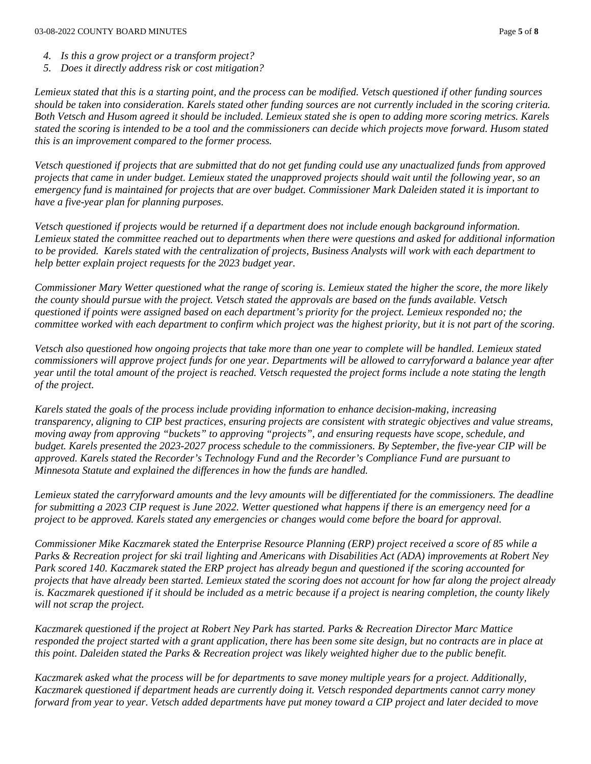- *4. Is this a grow project or a transform project?*
- *5. Does it directly address risk or cost mitigation?*

*Lemieux stated that this is a starting point, and the process can be modified. Vetsch questioned if other funding sources should be taken into consideration. Karels stated other funding sources are not currently included in the scoring criteria. Both Vetsch and Husom agreed it should be included. Lemieux stated she is open to adding more scoring metrics. Karels stated the scoring is intended to be a tool and the commissioners can decide which projects move forward. Husom stated this is an improvement compared to the former process.* 

*Vetsch questioned if projects that are submitted that do not get funding could use any unactualized funds from approved projects that came in under budget. Lemieux stated the unapproved projects should wait until the following year, so an emergency fund is maintained for projects that are over budget. Commissioner Mark Daleiden stated it is important to have a five-year plan for planning purposes.* 

*Vetsch questioned if projects would be returned if a department does not include enough background information. Lemieux stated the committee reached out to departments when there were questions and asked for additional information to be provided. Karels stated with the centralization of projects, Business Analysts will work with each department to help better explain project requests for the 2023 budget year.*

*Commissioner Mary Wetter questioned what the range of scoring is. Lemieux stated the higher the score, the more likely the county should pursue with the project. Vetsch stated the approvals are based on the funds available. Vetsch questioned if points were assigned based on each department's priority for the project. Lemieux responded no; the committee worked with each department to confirm which project was the highest priority, but it is not part of the scoring.* 

*Vetsch also questioned how ongoing projects that take more than one year to complete will be handled. Lemieux stated commissioners will approve project funds for one year. Departments will be allowed to carryforward a balance year after year until the total amount of the project is reached. Vetsch requested the project forms include a note stating the length of the project.* 

*Karels stated the goals of the process include providing information to enhance decision-making, increasing transparency, aligning to CIP best practices, ensuring projects are consistent with strategic objectives and value streams, moving away from approving "buckets" to approving "projects", and ensuring requests have scope, schedule, and budget. Karels presented the 2023-2027 process schedule to the commissioners. By September, the five-year CIP will be approved. Karels stated the Recorder's Technology Fund and the Recorder's Compliance Fund are pursuant to Minnesota Statute and explained the differences in how the funds are handled.* 

*Lemieux stated the carryforward amounts and the levy amounts will be differentiated for the commissioners. The deadline for submitting a 2023 CIP request is June 2022. Wetter questioned what happens if there is an emergency need for a project to be approved. Karels stated any emergencies or changes would come before the board for approval.* 

*Commissioner Mike Kaczmarek stated the Enterprise Resource Planning (ERP) project received a score of 85 while a Parks & Recreation project for ski trail lighting and Americans with Disabilities Act (ADA) improvements at Robert Ney Park scored 140. Kaczmarek stated the ERP project has already begun and questioned if the scoring accounted for projects that have already been started. Lemieux stated the scoring does not account for how far along the project already is. Kaczmarek questioned if it should be included as a metric because if a project is nearing completion, the county likely will not scrap the project.* 

*Kaczmarek questioned if the project at Robert Ney Park has started. Parks & Recreation Director Marc Mattice responded the project started with a grant application, there has been some site design, but no contracts are in place at this point. Daleiden stated the Parks & Recreation project was likely weighted higher due to the public benefit.* 

*Kaczmarek asked what the process will be for departments to save money multiple years for a project. Additionally, Kaczmarek questioned if department heads are currently doing it. Vetsch responded departments cannot carry money forward from year to year. Vetsch added departments have put money toward a CIP project and later decided to move*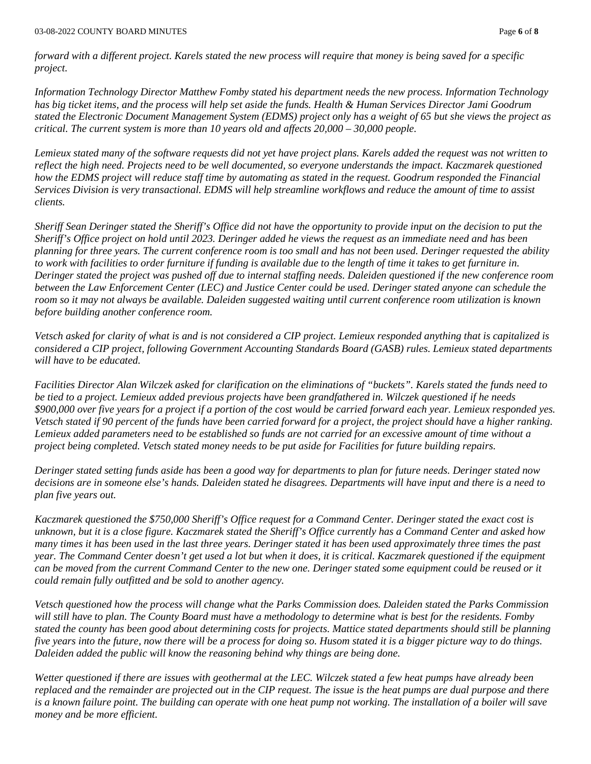*forward with a different project. Karels stated the new process will require that money is being saved for a specific project.* 

*Information Technology Director Matthew Fomby stated his department needs the new process. Information Technology has big ticket items, and the process will help set aside the funds. Health & Human Services Director Jami Goodrum stated the Electronic Document Management System (EDMS) project only has a weight of 65 but she views the project as critical. The current system is more than 10 years old and affects 20,000 – 30,000 people.* 

*Lemieux stated many of the software requests did not yet have project plans. Karels added the request was not written to reflect the high need. Projects need to be well documented, so everyone understands the impact. Kaczmarek questioned how the EDMS project will reduce staff time by automating as stated in the request. Goodrum responded the Financial Services Division is very transactional. EDMS will help streamline workflows and reduce the amount of time to assist clients.* 

*Sheriff Sean Deringer stated the Sheriff's Office did not have the opportunity to provide input on the decision to put the Sheriff's Office project on hold until 2023. Deringer added he views the request as an immediate need and has been planning for three years. The current conference room is too small and has not been used. Deringer requested the ability to work with facilities to order furniture if funding is available due to the length of time it takes to get furniture in. Deringer stated the project was pushed off due to internal staffing needs. Daleiden questioned if the new conference room between the Law Enforcement Center (LEC) and Justice Center could be used. Deringer stated anyone can schedule the room so it may not always be available. Daleiden suggested waiting until current conference room utilization is known before building another conference room.* 

*Vetsch asked for clarity of what is and is not considered a CIP project. Lemieux responded anything that is capitalized is considered a CIP project, following Government Accounting Standards Board (GASB) rules. Lemieux stated departments will have to be educated.* 

*Facilities Director Alan Wilczek asked for clarification on the eliminations of "buckets". Karels stated the funds need to be tied to a project. Lemieux added previous projects have been grandfathered in. Wilczek questioned if he needs \$900,000 over five years for a project if a portion of the cost would be carried forward each year. Lemieux responded yes. Vetsch stated if 90 percent of the funds have been carried forward for a project, the project should have a higher ranking. Lemieux added parameters need to be established so funds are not carried for an excessive amount of time without a project being completed. Vetsch stated money needs to be put aside for Facilities for future building repairs.* 

*Deringer stated setting funds aside has been a good way for departments to plan for future needs. Deringer stated now decisions are in someone else's hands. Daleiden stated he disagrees. Departments will have input and there is a need to plan five years out.* 

*Kaczmarek questioned the \$750,000 Sheriff's Office request for a Command Center. Deringer stated the exact cost is unknown, but it is a close figure. Kaczmarek stated the Sheriff's Office currently has a Command Center and asked how many times it has been used in the last three years. Deringer stated it has been used approximately three times the past year. The Command Center doesn't get used a lot but when it does, it is critical. Kaczmarek questioned if the equipment can be moved from the current Command Center to the new one. Deringer stated some equipment could be reused or it could remain fully outfitted and be sold to another agency.* 

*Vetsch questioned how the process will change what the Parks Commission does. Daleiden stated the Parks Commission will still have to plan. The County Board must have a methodology to determine what is best for the residents. Fomby stated the county has been good about determining costs for projects. Mattice stated departments should still be planning five years into the future, now there will be a process for doing so. Husom stated it is a bigger picture way to do things. Daleiden added the public will know the reasoning behind why things are being done.* 

*Wetter questioned if there are issues with geothermal at the LEC. Wilczek stated a few heat pumps have already been replaced and the remainder are projected out in the CIP request. The issue is the heat pumps are dual purpose and there is a known failure point. The building can operate with one heat pump not working. The installation of a boiler will save money and be more efficient.*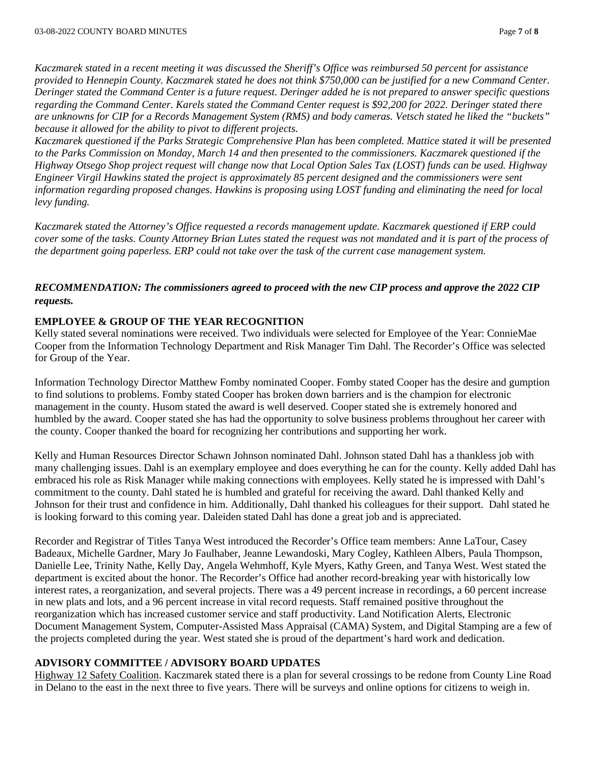*Kaczmarek stated in a recent meeting it was discussed the Sheriff's Office was reimbursed 50 percent for assistance provided to Hennepin County. Kaczmarek stated he does not think \$750,000 can be justified for a new Command Center. Deringer stated the Command Center is a future request. Deringer added he is not prepared to answer specific questions regarding the Command Center. Karels stated the Command Center request is \$92,200 for 2022. Deringer stated there are unknowns for CIP for a Records Management System (RMS) and body cameras. Vetsch stated he liked the "buckets" because it allowed for the ability to pivot to different projects.* 

*Kaczmarek questioned if the Parks Strategic Comprehensive Plan has been completed. Mattice stated it will be presented to the Parks Commission on Monday, March 14 and then presented to the commissioners. Kaczmarek questioned if the Highway Otsego Shop project request will change now that Local Option Sales Tax (LOST) funds can be used. Highway Engineer Virgil Hawkins stated the project is approximately 85 percent designed and the commissioners were sent information regarding proposed changes. Hawkins is proposing using LOST funding and eliminating the need for local levy funding.* 

*Kaczmarek stated the Attorney's Office requested a records management update. Kaczmarek questioned if ERP could cover some of the tasks. County Attorney Brian Lutes stated the request was not mandated and it is part of the process of the department going paperless. ERP could not take over the task of the current case management system.* 

*RECOMMENDATION: The commissioners agreed to proceed with the new CIP process and approve the 2022 CIP requests.* 

### **EMPLOYEE & GROUP OF THE YEAR RECOGNITION**

Kelly stated several nominations were received. Two individuals were selected for Employee of the Year: ConnieMae Cooper from the Information Technology Department and Risk Manager Tim Dahl. The Recorder's Office was selected for Group of the Year.

Information Technology Director Matthew Fomby nominated Cooper. Fomby stated Cooper has the desire and gumption to find solutions to problems. Fomby stated Cooper has broken down barriers and is the champion for electronic management in the county. Husom stated the award is well deserved. Cooper stated she is extremely honored and humbled by the award. Cooper stated she has had the opportunity to solve business problems throughout her career with the county. Cooper thanked the board for recognizing her contributions and supporting her work.

Kelly and Human Resources Director Schawn Johnson nominated Dahl. Johnson stated Dahl has a thankless job with many challenging issues. Dahl is an exemplary employee and does everything he can for the county. Kelly added Dahl has embraced his role as Risk Manager while making connections with employees. Kelly stated he is impressed with Dahl's commitment to the county. Dahl stated he is humbled and grateful for receiving the award. Dahl thanked Kelly and Johnson for their trust and confidence in him. Additionally, Dahl thanked his colleagues for their support. Dahl stated he is looking forward to this coming year. Daleiden stated Dahl has done a great job and is appreciated.

Recorder and Registrar of Titles Tanya West introduced the Recorder's Office team members: Anne LaTour, Casey Badeaux, Michelle Gardner, Mary Jo Faulhaber, Jeanne Lewandoski, Mary Cogley, Kathleen Albers, Paula Thompson, Danielle Lee, Trinity Nathe, Kelly Day, Angela Wehmhoff, Kyle Myers, Kathy Green, and Tanya West. West stated the department is excited about the honor. The Recorder's Office had another record-breaking year with historically low interest rates, a reorganization, and several projects. There was a 49 percent increase in recordings, a 60 percent increase in new plats and lots, and a 96 percent increase in vital record requests. Staff remained positive throughout the reorganization which has increased customer service and staff productivity. Land Notification Alerts, Electronic Document Management System, Computer-Assisted Mass Appraisal (CAMA) System, and Digital Stamping are a few of the projects completed during the year. West stated she is proud of the department's hard work and dedication.

## **ADVISORY COMMITTEE / ADVISORY BOARD UPDATES**

Highway 12 Safety Coalition. Kaczmarek stated there is a plan for several crossings to be redone from County Line Road in Delano to the east in the next three to five years. There will be surveys and online options for citizens to weigh in.